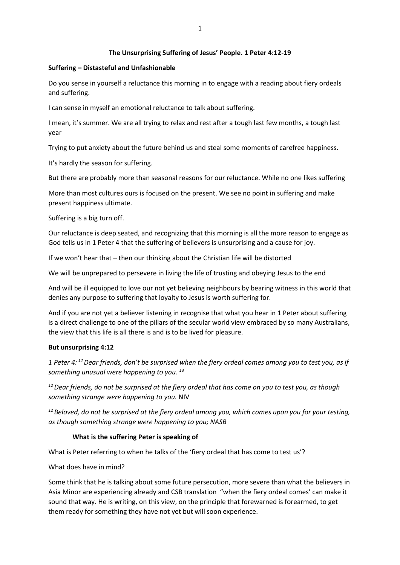### **The Unsurprising Suffering of Jesus' People. 1 Peter 4:12-19**

### **Suffering – Distasteful and Unfashionable**

Do you sense in yourself a reluctance this morning in to engage with a reading about fiery ordeals and suffering.

I can sense in myself an emotional reluctance to talk about suffering.

I mean, it's summer. We are all trying to relax and rest after a tough last few months, a tough last year

Trying to put anxiety about the future behind us and steal some moments of carefree happiness.

It's hardly the season for suffering.

But there are probably more than seasonal reasons for our reluctance. While no one likes suffering

More than most cultures ours is focused on the present. We see no point in suffering and make present happiness ultimate.

Suffering is a big turn off.

Our reluctance is deep seated, and recognizing that this morning is all the more reason to engage as God tells us in 1 Peter 4 that the suffering of believers is unsurprising and a cause for joy.

If we won't hear that – then our thinking about the Christian life will be distorted

We will be unprepared to persevere in living the life of trusting and obeying Jesus to the end

And will be ill equipped to love our not yet believing neighbours by bearing witness in this world that denies any purpose to suffering that loyalty to Jesus is worth suffering for.

And if you are not yet a believer listening in recognise that what you hear in 1 Peter about suffering is a direct challenge to one of the pillars of the secular world view embraced by so many Australians, the view that this life is all there is and is to be lived for pleasure.

#### **But unsurprising 4:12**

*1 Peter 4: <sup>12</sup>Dear friends, don't be surprised when the fiery ordeal comes among you to test you, as if something unusual were happening to you. <sup>13</sup>*

*<sup>12</sup>Dear friends, do not be surprised at the fiery ordeal that has come on you to test you, as though something strange were happening to you.* NIV

*<sup>12</sup> Beloved, do not be surprised at the fiery ordeal among you, which comes upon you for your testing, as though something strange were happening to you; NASB*

## **What is the suffering Peter is speaking of**

What is Peter referring to when he talks of the 'fiery ordeal that has come to test us'?

What does have in mind?

Some think that he is talking about some future persecution, more severe than what the believers in Asia Minor are experiencing already and CSB translation "when the fiery ordeal comes' can make it sound that way. He is writing, on this view, on the principle that forewarned is forearmed, to get them ready for something they have not yet but will soon experience.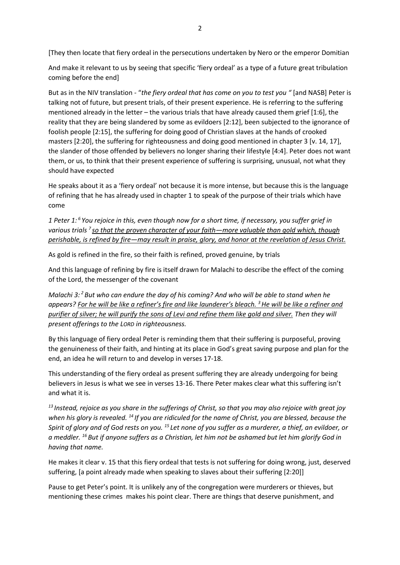[They then locate that fiery ordeal in the persecutions undertaken by Nero or the emperor Domitian

And make it relevant to us by seeing that specific 'fiery ordeal' as a type of a future great tribulation coming before the end]

But as in the NIV translation - "*the fiery ordeal that has come on you to test you "* [and NASB] Peter is talking not of future, but present trials, of their present experience. He is referring to the suffering mentioned already in the letter – the various trials that have already caused them grief [1:6], the reality that they are being slandered by some as evildoers [2:12], been subjected to the ignorance of foolish people [2:15], the suffering for doing good of Christian slaves at the hands of crooked masters [2:20], the suffering for righteousness and doing good mentioned in chapter 3 [v. 14, 17], the slander of those offended by believers no longer sharing their lifestyle [4:4]. Peter does not want them, or us, to think that their present experience of suffering is surprising, unusual, not what they should have expected

He speaks about it as a 'fiery ordeal' not because it is more intense, but because this is the language of refining that he has already used in chapter 1 to speak of the purpose of their trials which have come

*1 Peter 1: <sup>6</sup> You rejoice in this, even though now for a short time, if necessary, you suffer grief in various trials <sup>7</sup> so that the proven character of your faith—more valuable than gold which, though perishable, is refined by fire—may result in praise, glory, and honor at the revelation of Jesus Christ.*

As gold is refined in the fire, so their faith is refined, proved genuine, by trials

And this language of refining by fire is itself drawn for Malachi to describe the effect of the coming of the Lord, the messenger of the covenant

*Malachi 3: <sup>2</sup> But who can endure the day of his coming? And who will be able to stand when he appears? For he will be like a refiner's fire and like launderer's bleach. <sup>3</sup>He will be like a refiner and purifier of silver; he will purify the sons of Levi and refine them like gold and silver. Then they will present offerings to the LORD in righteousness.*

By this language of fiery ordeal Peter is reminding them that their suffering is purposeful, proving the genuineness of their faith, and hinting at its place in God's great saving purpose and plan for the end, an idea he will return to and develop in verses 17-18.

This understanding of the fiery ordeal as present suffering they are already undergoing for being believers in Jesus is what we see in verses 13-16. There Peter makes clear what this suffering isn't and what it is.

*<sup>13</sup> Instead, rejoice as you share in the sufferings of Christ, so that you may also rejoice with great joy when his glory is revealed. <sup>14</sup> If you are ridiculed for the name of Christ, you are blessed, because the Spirit of glory and of God rests on you. <sup>15</sup> Let none of you suffer as a murderer, a thief, an evildoer, or a meddler. <sup>16</sup> But if anyone suffers as a Christian, let him not be ashamed but let him glorify God in having that name.*

He makes it clear v. 15 that this fiery ordeal that tests is not suffering for doing wrong, just, deserved suffering, [a point already made when speaking to slaves about their suffering [2:20]]

Pause to get Peter's point. It is unlikely any of the congregation were murderers or thieves, but mentioning these crimes makes his point clear. There are things that deserve punishment, and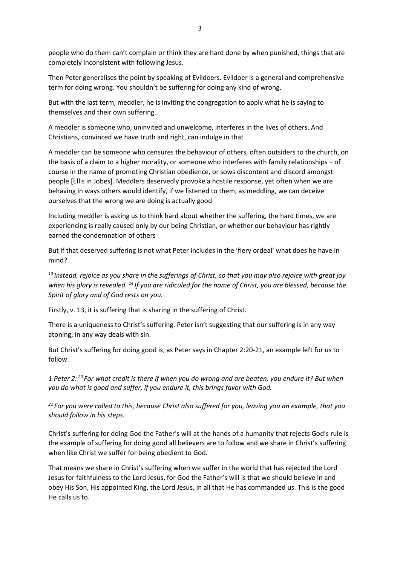people who do them can't complain or think they are hard done by when punished, things that are completely inconsistent with following Jesus.

Then Peter generalises the point by speaking of Evildoers. Evildoer is a general and comprehensive term for doing wrong. You shouldn't be suffering for doing any kind of wrong.

But with the last term, meddler, he is inviting the congregation to apply what he is saying to themselves and their own suffering.

A meddler is someone who, uninvited and unwelcome, interferes in the lives of others. And Christians, convinced we have truth and right, can indulge in that

A meddler can be someone who censures the behaviour of others, often outsiders to the church, on the basis of a claim to a higher morality, or someone who interferes with family relationships – of course in the name of promoting Christian obedience, or sows discontent and discord amongst people [Ellis in Jobes]. Meddlers deservedly provoke a hostile response, yet often when we are behaving in ways others would identify, if we listened to them, as meddling, we can deceive ourselves that the wrong we are doing is actually good

Including meddler is asking us to think hard about whether the suffering, the hard times, we are experiencing is really caused only by our being Christian, or whether our behaviour has rightly earned the condemnation of others

But if that deserved suffering is not what Peter includes in the 'fiery ordeal' what does he have in mind?

*<sup>13</sup> Instead, rejoice as you share in the sufferings of Christ, so that you may also rejoice with great joy when his glory is revealed. <sup>14</sup> If you are ridiculed for the name of Christ, you are blessed, because the Spirit of glory and of God rests on you.*

Firstly, v. 13, it is suffering that is sharing in the suffering of Christ.

There is a uniqueness to Christ's suffering. Peter isn't suggesting that our suffering is in any way atoning, in any way deals with sin.

But Christ's suffering for doing good is, as Peter says in Chapter 2:20-21, an example left for us to follow.

*1 Peter 2: <sup>20</sup> For what credit is there if when you do wrong and are beaten, you endure it? But when you do what is good and suffer, if you endure it, this brings favor with God.*

*<sup>21</sup> For you were called to this, because Christ also suffered for you, leaving you an example, that you should follow in his steps.* 

Christ's suffering for doing God the Father's will at the hands of a humanity that rejects God's rule is the example of suffering for doing good all believers are to follow and we share in Christ's suffering when like Christ we suffer for being obedient to God.

That means we share in Christ's suffering when we suffer in the world that has rejected the Lord Jesus for faithfulness to the Lord Jesus, for God the Father's will is that we should believe in and obey His Son, His appointed King, the Lord Jesus, in all that He has commanded us. This is the good He calls us to.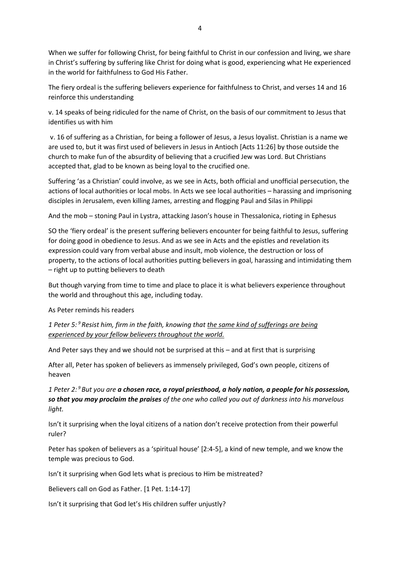When we suffer for following Christ, for being faithful to Christ in our confession and living, we share in Christ's suffering by suffering like Christ for doing what is good, experiencing what He experienced in the world for faithfulness to God His Father.

The fiery ordeal is the suffering believers experience for faithfulness to Christ, and verses 14 and 16 reinforce this understanding

v. 14 speaks of being ridiculed for the name of Christ, on the basis of our commitment to Jesus that identifies us with him

v. 16 of suffering as a Christian, for being a follower of Jesus, a Jesus loyalist. Christian is a name we are used to, but it was first used of believers in Jesus in Antioch [Acts 11:26] by those outside the church to make fun of the absurdity of believing that a crucified Jew was Lord. But Christians accepted that, glad to be known as being loyal to the crucified one.

Suffering 'as a Christian' could involve, as we see in Acts, both official and unofficial persecution, the actions of local authorities or local mobs. In Acts we see local authorities – harassing and imprisoning disciples in Jerusalem, even killing James, arresting and flogging Paul and Silas in Philippi

And the mob – stoning Paul in Lystra, attacking Jason's house in Thessalonica, rioting in Ephesus

SO the 'fiery ordeal' is the present suffering believers encounter for being faithful to Jesus, suffering for doing good in obedience to Jesus. And as we see in Acts and the epistles and revelation its expression could vary from verbal abuse and insult, mob violence, the destruction or loss of property, to the actions of local authorities putting believers in goal, harassing and intimidating them – right up to putting believers to death

But though varying from time to time and place to place it is what believers experience throughout the world and throughout this age, including today.

As Peter reminds his readers

*1 Peter 5: <sup>9</sup> Resist him, firm in the faith, knowing that the same kind of sufferings are being experienced by your fellow believers throughout the world.*

And Peter says they and we should not be surprised at this – and at first that is surprising

After all, Peter has spoken of believers as immensely privileged, God's own people, citizens of heaven

*1 Peter 2: <sup>9</sup> But you are a chosen race, a royal priesthood, a holy nation, a people for his possession, so that you may proclaim the praises of the one who called you out of darkness into his marvelous light.*

Isn't it surprising when the loyal citizens of a nation don't receive protection from their powerful ruler?

Peter has spoken of believers as a 'spiritual house' [2:4-5], a kind of new temple, and we know the temple was precious to God.

Isn't it surprising when God lets what is precious to Him be mistreated?

Believers call on God as Father. [1 Pet. 1:14-17]

Isn't it surprising that God let's His children suffer unjustly?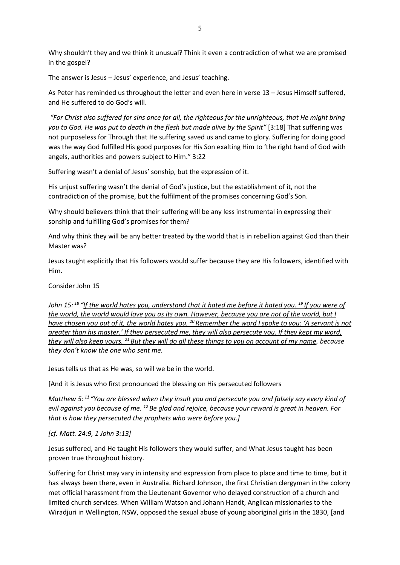Why shouldn't they and we think it unusual? Think it even a contradiction of what we are promised in the gospel?

The answer is Jesus – Jesus' experience, and Jesus' teaching.

As Peter has reminded us throughout the letter and even here in verse 13 – Jesus Himself suffered, and He suffered to do God's will.

*"For Christ also suffered for sins once for all, the righteous for the unrighteous, that He might bring you to God. He was put to death in the flesh but made alive by the Spirit"* [3:18] That suffering was not purposeless for Through that He suffering saved us and came to glory. Suffering for doing good was the way God fulfilled His good purposes for His Son exalting Him to 'the right hand of God with angels, authorities and powers subject to Him." 3:22

Suffering wasn't a denial of Jesus' sonship, but the expression of it.

His unjust suffering wasn't the denial of God's justice, but the establishment of it, not the contradiction of the promise, but the fulfilment of the promises concerning God's Son.

Why should believers think that their suffering will be any less instrumental in expressing their sonship and fulfilling God's promises for them?

And why think they will be any better treated by the world that is in rebellion against God than their Master was?

Jesus taught explicitly that His followers would suffer because they are His followers, identified with Him.

Consider John 15

*John 15: <sup>18</sup> "If the world hates you, understand that it hated me before it hated you. <sup>19</sup> If you were of the world, the world would love you as its own. However, because you are not of the world, but I have chosen you out of it, the world hates you. <sup>20</sup> Remember the word I spoke to you: 'A servant is not greater than his master.' If they persecuted me, they will also persecute you. If they kept my word, they will also keep yours. <sup>21</sup> But they will do all these things to you on account of my name, because they don't know the one who sent me.*

Jesus tells us that as He was, so will we be in the world.

[And it is Jesus who first pronounced the blessing on His persecuted followers

*Matthew 5: <sup>11</sup> "You are blessed when they insult you and persecute you and falsely say every kind of evil against you because of me. <sup>12</sup> Be glad and rejoice, because your reward is great in heaven. For that is how they persecuted the prophets who were before you.]*

## *[cf. Matt. 24:9, 1 John 3:13]*

Jesus suffered, and He taught His followers they would suffer, and What Jesus taught has been proven true throughout history.

Suffering for Christ may vary in intensity and expression from place to place and time to time, but it has always been there, even in Australia. Richard Johnson, the first Christian clergyman in the colony met official harassment from the Lieutenant Governor who delayed construction of a church and limited church services. When William Watson and Johann Handt, Anglican missionaries to the Wiradjuri in Wellington, NSW, opposed the sexual abuse of young aboriginal girls in the 1830, [and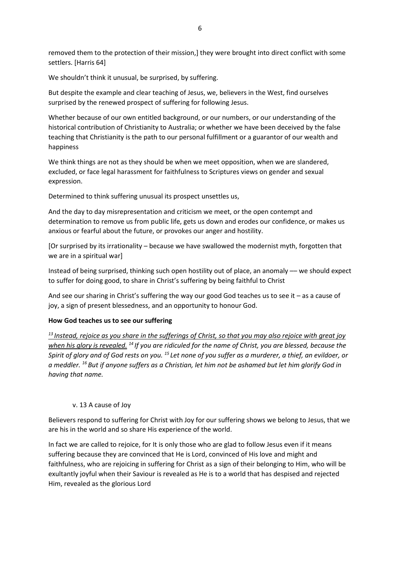removed them to the protection of their mission,] they were brought into direct conflict with some settlers. [Harris 64]

We shouldn't think it unusual, be surprised, by suffering.

But despite the example and clear teaching of Jesus, we, believers in the West, find ourselves surprised by the renewed prospect of suffering for following Jesus.

Whether because of our own entitled background, or our numbers, or our understanding of the historical contribution of Christianity to Australia; or whether we have been deceived by the false teaching that Christianity is the path to our personal fulfillment or a guarantor of our wealth and happiness

We think things are not as they should be when we meet opposition, when we are slandered, excluded, or face legal harassment for faithfulness to Scriptures views on gender and sexual expression.

Determined to think suffering unusual its prospect unsettles us,

And the day to day misrepresentation and criticism we meet, or the open contempt and determination to remove us from public life, gets us down and erodes our confidence, or makes us anxious or fearful about the future, or provokes our anger and hostility.

[Or surprised by its irrationality – because we have swallowed the modernist myth, forgotten that we are in a spiritual war]

Instead of being surprised, thinking such open hostility out of place, an anomaly –– we should expect to suffer for doing good, to share in Christ's suffering by being faithful to Christ

And see our sharing in Christ's suffering the way our good God teaches us to see it – as a cause of joy, a sign of present blessedness, and an opportunity to honour God.

#### **How God teaches us to see our suffering**

*<sup>13</sup> Instead, rejoice as you share in the sufferings of Christ, so that you may also rejoice with great joy when his glory is revealed. <sup>14</sup> If you are ridiculed for the name of Christ, you are blessed, because the Spirit of glory and of God rests on you. <sup>15</sup> Let none of you suffer as a murderer, a thief, an evildoer, or a meddler. <sup>16</sup> But if anyone suffers as a Christian, let him not be ashamed but let him glorify God in having that name.*

#### v. 13 A cause of Joy

Believers respond to suffering for Christ with Joy for our suffering shows we belong to Jesus, that we are his in the world and so share His experience of the world.

In fact we are called to rejoice, for It is only those who are glad to follow Jesus even if it means suffering because they are convinced that He is Lord, convinced of His love and might and faithfulness, who are rejoicing in suffering for Christ as a sign of their belonging to Him, who will be exultantly joyful when their Saviour is revealed as He is to a world that has despised and rejected Him, revealed as the glorious Lord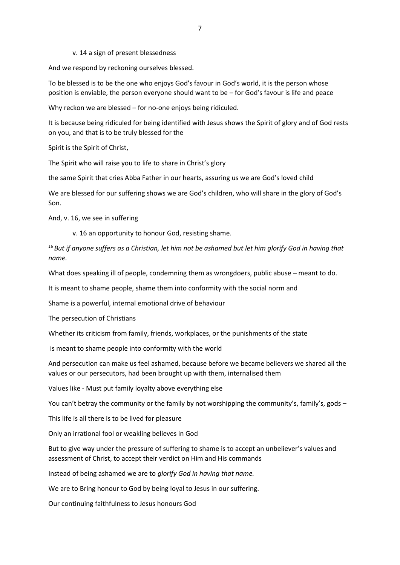v. 14 a sign of present blessedness

And we respond by reckoning ourselves blessed.

To be blessed is to be the one who enjoys God's favour in God's world, it is the person whose position is enviable, the person everyone should want to be – for God's favour is life and peace

Why reckon we are blessed – for no-one enjoys being ridiculed.

It is because being ridiculed for being identified with Jesus shows the Spirit of glory and of God rests on you, and that is to be truly blessed for the

Spirit is the Spirit of Christ,

The Spirit who will raise you to life to share in Christ's glory

the same Spirit that cries Abba Father in our hearts, assuring us we are God's loved child

We are blessed for our suffering shows we are God's children, who will share in the glory of God's Son.

And, v. 16, we see in suffering

v. 16 an opportunity to honour God, resisting shame.

*<sup>16</sup> But if anyone suffers as a Christian, let him not be ashamed but let him glorify God in having that name.*

What does speaking ill of people, condemning them as wrongdoers, public abuse – meant to do.

It is meant to shame people, shame them into conformity with the social norm and

Shame is a powerful, internal emotional drive of behaviour

The persecution of Christians

Whether its criticism from family, friends, workplaces, or the punishments of the state

is meant to shame people into conformity with the world

And persecution can make us feel ashamed, because before we became believers we shared all the values or our persecutors, had been brought up with them, internalised them

Values like - Must put family loyalty above everything else

You can't betray the community or the family by not worshipping the community's, family's, gods –

This life is all there is to be lived for pleasure

Only an irrational fool or weakling believes in God

But to give way under the pressure of suffering to shame is to accept an unbeliever's values and assessment of Christ, to accept their verdict on Him and His commands

Instead of being ashamed we are to *glorify God in having that name.*

We are to Bring honour to God by being loyal to Jesus in our suffering.

Our continuing faithfulness to Jesus honours God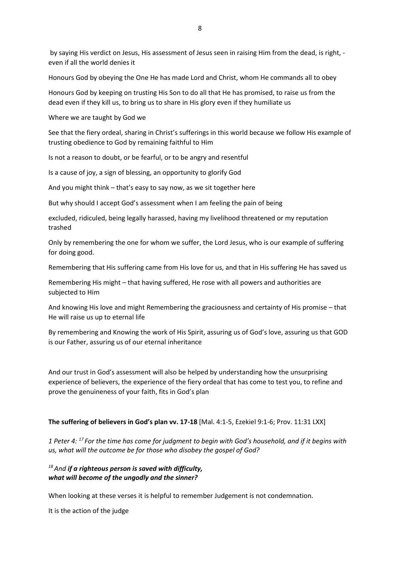by saying His verdict on Jesus, His assessment of Jesus seen in raising Him from the dead, is right, even if all the world denies it

Honours God by obeying the One He has made Lord and Christ, whom He commands all to obey

Honours God by keeping on trusting His Son to do all that He has promised, to raise us from the dead even if they kill us, to bring us to share in His glory even if they humiliate us

Where we are taught by God we

See that the fiery ordeal, sharing in Christ's sufferings in this world because we follow His example of trusting obedience to God by remaining faithful to Him

Is not a reason to doubt, or be fearful, or to be angry and resentful

Is a cause of joy, a sign of blessing, an opportunity to glorify God

And you might think – that's easy to say now, as we sit together here

But why should I accept God's assessment when I am feeling the pain of being

excluded, ridiculed, being legally harassed, having my livelihood threatened or my reputation trashed

Only by remembering the one for whom we suffer, the Lord Jesus, who is our example of suffering for doing good.

Remembering that His suffering came from His love for us, and that in His suffering He has saved us

Remembering His might – that having suffered, He rose with all powers and authorities are subjected to Him

And knowing His love and might Remembering the graciousness and certainty of His promise – that He will raise us up to eternal life

By remembering and Knowing the work of His Spirit, assuring us of God's love, assuring us that GOD is our Father, assuring us of our eternal inheritance

And our trust in God's assessment will also be helped by understanding how the unsurprising experience of believers, the experience of the fiery ordeal that has come to test you, to refine and prove the genuineness of your faith, fits in God's plan

**The suffering of believers in God's plan vv. 17-18** [Mal. 4:1-5, Ezekiel 9:1-6; Prov. 11:31 LXX]

*1 Peter 4: <sup>17</sup> For the time has come for judgment to begin with God's household, and if it begins with us, what will the outcome be for those who disobey the gospel of God?*

*<sup>18</sup>And if a righteous person is saved with difficulty, what will become of the ungodly and the sinner?*

When looking at these verses it is helpful to remember Judgement is not condemnation.

It is the action of the judge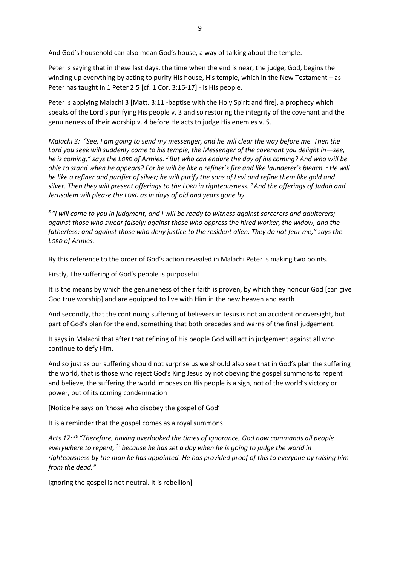And God's household can also mean God's house, a way of talking about the temple.

Peter is saying that in these last days, the time when the end is near, the judge, God, begins the winding up everything by acting to purify His house, His temple, which in the New Testament – as Peter has taught in 1 Peter 2:5 [cf. 1 Cor. 3:16-17] - is His people.

Peter is applying Malachi 3 [Matt. 3:11 -baptise with the Holy Spirit and fire], a prophecy which speaks of the Lord's purifying His people v. 3 and so restoring the integrity of the covenant and the genuineness of their worship v. 4 before He acts to judge His enemies v. 5.

*Malachi 3: "See, I am going to send my messenger, and he will clear the way before me. Then the*  Lord you seek will suddenly come to his temple, the Messenger of the covenant you delight in-see, *he is coming," says the LORD of Armies. <sup>2</sup> But who can endure the day of his coming? And who will be able to stand when he appears? For he will be like a refiner's fire and like launderer's bleach. <sup>3</sup>He will be like a refiner and purifier of silver; he will purify the sons of Levi and refine them like gold and silver. Then they will present offerings to the LORD in righteousness. <sup>4</sup>And the offerings of Judah and Jerusalem will please the LORD as in days of old and years gone by.*

*5 "I will come to you in judgment, and I will be ready to witness against sorcerers and adulterers; against those who swear falsely; against those who oppress the hired worker, the widow, and the fatherless; and against those who deny justice to the resident alien. They do not fear me," says the LORD of Armies.* 

By this reference to the order of God's action revealed in Malachi Peter is making two points.

Firstly, The suffering of God's people is purposeful

It is the means by which the genuineness of their faith is proven, by which they honour God [can give God true worship] and are equipped to live with Him in the new heaven and earth

And secondly, that the continuing suffering of believers in Jesus is not an accident or oversight, but part of God's plan for the end, something that both precedes and warns of the final judgement.

It says in Malachi that after that refining of His people God will act in judgement against all who continue to defy Him.

And so just as our suffering should not surprise us we should also see that in God's plan the suffering the world, that is those who reject God's King Jesus by not obeying the gospel summons to repent and believe, the suffering the world imposes on His people is a sign, not of the world's victory or power, but of its coming condemnation

[Notice he says on 'those who disobey the gospel of God'

It is a reminder that the gospel comes as a royal summons.

*Acts 17: <sup>30</sup> "Therefore, having overlooked the times of ignorance, God now commands all people everywhere to repent, <sup>31</sup> because he has set a day when he is going to judge the world in righteousness by the man he has appointed. He has provided proof of this to everyone by raising him from the dead."*

Ignoring the gospel is not neutral. It is rebellion]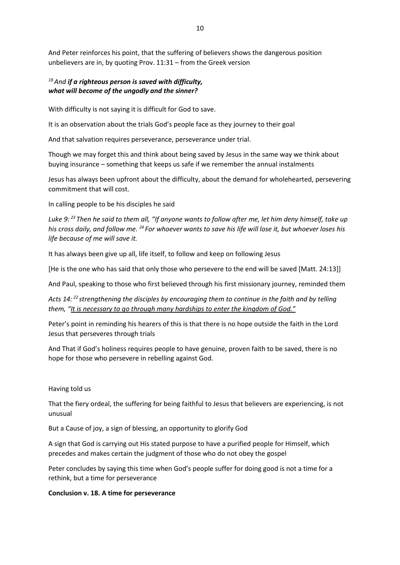And Peter reinforces his point, that the suffering of believers shows the dangerous position unbelievers are in, by quoting Prov. 11:31 – from the Greek version

# *<sup>18</sup>And if a righteous person is saved with difficulty, what will become of the ungodly and the sinner?*

With difficulty is not saying it is difficult for God to save.

It is an observation about the trials God's people face as they journey to their goal

And that salvation requires perseverance, perseverance under trial.

Though we may forget this and think about being saved by Jesus in the same way we think about buying insurance – something that keeps us safe if we remember the annual instalments

Jesus has always been upfront about the difficulty, about the demand for wholehearted, persevering commitment that will cost.

In calling people to be his disciples he said

*Luke 9: <sup>23</sup> Then he said to them all, "If anyone wants to follow after me, let him deny himself, take up his cross daily, and follow me. <sup>24</sup> For whoever wants to save his life will lose it, but whoever loses his life because of me will save it.*

It has always been give up all, life itself, to follow and keep on following Jesus

[He is the one who has said that only those who persevere to the end will be saved [Matt. 24:13]]

And Paul, speaking to those who first believed through his first missionary journey, reminded them

*Acts 14: <sup>22</sup> strengthening the disciples by encouraging them to continue in the faith and by telling them, "It is necessary to go through many hardships to enter the kingdom of God."*

Peter's point in reminding his hearers of this is that there is no hope outside the faith in the Lord Jesus that perseveres through trials

And That if God's holiness requires people to have genuine, proven faith to be saved, there is no hope for those who persevere in rebelling against God.

#### Having told us

That the fiery ordeal, the suffering for being faithful to Jesus that believers are experiencing, is not unusual

But a Cause of joy, a sign of blessing, an opportunity to glorify God

A sign that God is carrying out His stated purpose to have a purified people for Himself, which precedes and makes certain the judgment of those who do not obey the gospel

Peter concludes by saying this time when God's people suffer for doing good is not a time for a rethink, but a time for perseverance

#### **Conclusion v. 18. A time for perseverance**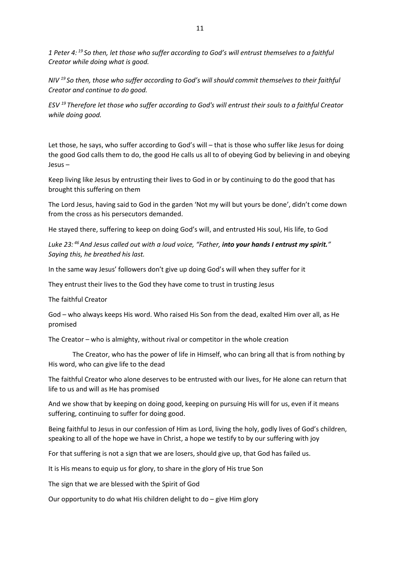*1 Peter 4: <sup>19</sup> So then, let those who suffer according to God's will entrust themselves to a faithful Creator while doing what is good.*

*NIV <sup>19</sup> So then, those who suffer according to God's will should commit themselves to their faithful Creator and continue to do good.*

*ESV <sup>19</sup> Therefore let those who suffer according to God's will entrust their souls to a faithful Creator while doing good.*

Let those, he says, who suffer according to God's will – that is those who suffer like Jesus for doing the good God calls them to do, the good He calls us all to of obeying God by believing in and obeying Jesus –

Keep living like Jesus by entrusting their lives to God in or by continuing to do the good that has brought this suffering on them

The Lord Jesus, having said to God in the garden 'Not my will but yours be done', didn't come down from the cross as his persecutors demanded.

He stayed there, suffering to keep on doing God's will, and entrusted His soul, His life, to God

*Luke 23: <sup>46</sup>And Jesus called out with a loud voice, "Father, into your hands I entrust my spirit." Saying this, he breathed his last.*

In the same way Jesus' followers don't give up doing God's will when they suffer for it

They entrust their lives to the God they have come to trust in trusting Jesus

The faithful Creator

God – who always keeps His word. Who raised His Son from the dead, exalted Him over all, as He promised

The Creator – who is almighty, without rival or competitor in the whole creation

The Creator, who has the power of life in Himself, who can bring all that is from nothing by His word, who can give life to the dead

The faithful Creator who alone deserves to be entrusted with our lives, for He alone can return that life to us and will as He has promised

And we show that by keeping on doing good, keeping on pursuing His will for us, even if it means suffering, continuing to suffer for doing good.

Being faithful to Jesus in our confession of Him as Lord, living the holy, godly lives of God's children, speaking to all of the hope we have in Christ, a hope we testify to by our suffering with joy

For that suffering is not a sign that we are losers, should give up, that God has failed us.

It is His means to equip us for glory, to share in the glory of His true Son

The sign that we are blessed with the Spirit of God

Our opportunity to do what His children delight to do – give Him glory